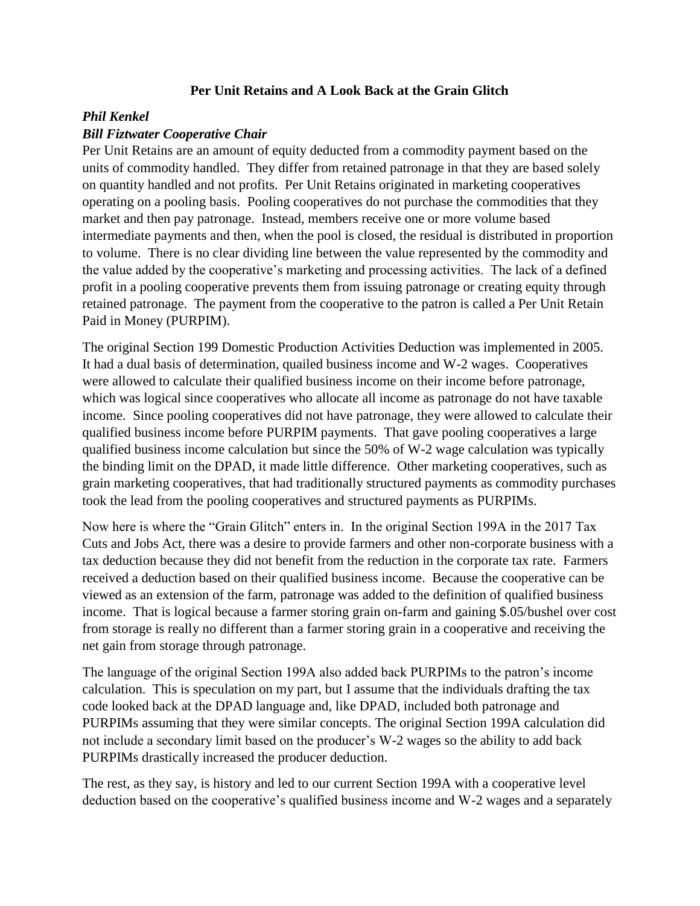## **Per Unit Retains and A Look Back at the Grain Glitch**

## *Phil Kenkel*

## *Bill Fiztwater Cooperative Chair*

Per Unit Retains are an amount of equity deducted from a commodity payment based on the units of commodity handled. They differ from retained patronage in that they are based solely on quantity handled and not profits. Per Unit Retains originated in marketing cooperatives operating on a pooling basis. Pooling cooperatives do not purchase the commodities that they market and then pay patronage. Instead, members receive one or more volume based intermediate payments and then, when the pool is closed, the residual is distributed in proportion to volume. There is no clear dividing line between the value represented by the commodity and the value added by the cooperative's marketing and processing activities. The lack of a defined profit in a pooling cooperative prevents them from issuing patronage or creating equity through retained patronage. The payment from the cooperative to the patron is called a Per Unit Retain Paid in Money (PURPIM).

The original Section 199 Domestic Production Activities Deduction was implemented in 2005. It had a dual basis of determination, quailed business income and W-2 wages. Cooperatives were allowed to calculate their qualified business income on their income before patronage, which was logical since cooperatives who allocate all income as patronage do not have taxable income. Since pooling cooperatives did not have patronage, they were allowed to calculate their qualified business income before PURPIM payments. That gave pooling cooperatives a large qualified business income calculation but since the 50% of W-2 wage calculation was typically the binding limit on the DPAD, it made little difference. Other marketing cooperatives, such as grain marketing cooperatives, that had traditionally structured payments as commodity purchases took the lead from the pooling cooperatives and structured payments as PURPIMs.

Now here is where the "Grain Glitch" enters in. In the original Section 199A in the 2017 Tax Cuts and Jobs Act, there was a desire to provide farmers and other non-corporate business with a tax deduction because they did not benefit from the reduction in the corporate tax rate. Farmers received a deduction based on their qualified business income. Because the cooperative can be viewed as an extension of the farm, patronage was added to the definition of qualified business income. That is logical because a farmer storing grain on-farm and gaining \$.05/bushel over cost from storage is really no different than a farmer storing grain in a cooperative and receiving the net gain from storage through patronage.

The language of the original Section 199A also added back PURPIMs to the patron's income calculation. This is speculation on my part, but I assume that the individuals drafting the tax code looked back at the DPAD language and, like DPAD, included both patronage and PURPIMs assuming that they were similar concepts. The original Section 199A calculation did not include a secondary limit based on the producer's W-2 wages so the ability to add back PURPIMs drastically increased the producer deduction.

The rest, as they say, is history and led to our current Section 199A with a cooperative level deduction based on the cooperative's qualified business income and W-2 wages and a separately